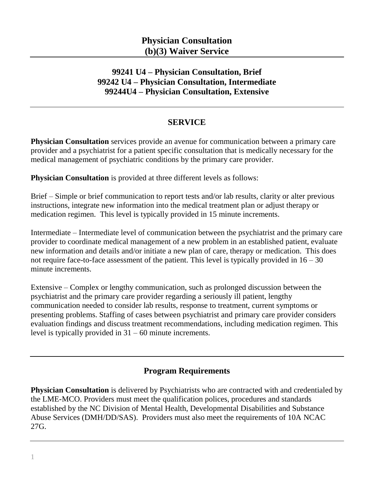# **99241 U4 – Physician Consultation, Brief 99242 U4 – Physician Consultation, Intermediate 99244U4 – Physician Consultation, Extensive**

#### **SERVICE**

**Physician Consultation** services provide an avenue for communication between a primary care provider and a psychiatrist for a patient specific consultation that is medically necessary for the medical management of psychiatric conditions by the primary care provider.

**Physician Consultation** is provided at three different levels as follows:

Brief – Simple or brief communication to report tests and/or lab results, clarity or alter previous instructions, integrate new information into the medical treatment plan or adjust therapy or medication regimen. This level is typically provided in 15 minute increments.

Intermediate – Intermediate level of communication between the psychiatrist and the primary care provider to coordinate medical management of a new problem in an established patient, evaluate new information and details and/or initiate a new plan of care, therapy or medication. This does not require face-to-face assessment of the patient. This level is typically provided in  $16 - 30$ minute increments.

Extensive – Complex or lengthy communication, such as prolonged discussion between the psychiatrist and the primary care provider regarding a seriously ill patient, lengthy communication needed to consider lab results, response to treatment, current symptoms or presenting problems. Staffing of cases between psychiatrist and primary care provider considers evaluation findings and discuss treatment recommendations, including medication regimen. This level is typically provided in 31 – 60 minute increments.

# **Program Requirements**

**Physician Consultation** is delivered by Psychiatrists who are contracted with and credentialed by the LME-MCO. Providers must meet the qualification polices, procedures and standards established by the NC Division of Mental Health, Developmental Disabilities and Substance Abuse Services (DMH/DD/SAS). Providers must also meet the requirements of 10A NCAC 27G.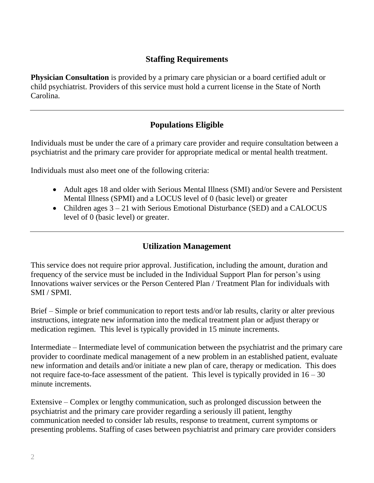# **Staffing Requirements**

**Physician Consultation** is provided by a primary care physician or a board certified adult or child psychiatrist. Providers of this service must hold a current license in the State of North Carolina.

# **Populations Eligible**

Individuals must be under the care of a primary care provider and require consultation between a psychiatrist and the primary care provider for appropriate medical or mental health treatment.

Individuals must also meet one of the following criteria:

- Adult ages 18 and older with Serious Mental Illness (SMI) and/or Severe and Persistent Mental Illness (SPMI) and a LOCUS level of 0 (basic level) or greater
- Children ages  $3 21$  with Serious Emotional Disturbance (SED) and a CALOCUS level of 0 (basic level) or greater.

#### **Utilization Management**

This service does not require prior approval. Justification, including the amount, duration and frequency of the service must be included in the Individual Support Plan for person's using Innovations waiver services or the Person Centered Plan / Treatment Plan for individuals with SMI / SPMI.

Brief – Simple or brief communication to report tests and/or lab results, clarity or alter previous instructions, integrate new information into the medical treatment plan or adjust therapy or medication regimen. This level is typically provided in 15 minute increments.

Intermediate – Intermediate level of communication between the psychiatrist and the primary care provider to coordinate medical management of a new problem in an established patient, evaluate new information and details and/or initiate a new plan of care, therapy or medication. This does not require face-to-face assessment of the patient. This level is typically provided in  $16 - 30$ minute increments.

Extensive – Complex or lengthy communication, such as prolonged discussion between the psychiatrist and the primary care provider regarding a seriously ill patient, lengthy communication needed to consider lab results, response to treatment, current symptoms or presenting problems. Staffing of cases between psychiatrist and primary care provider considers